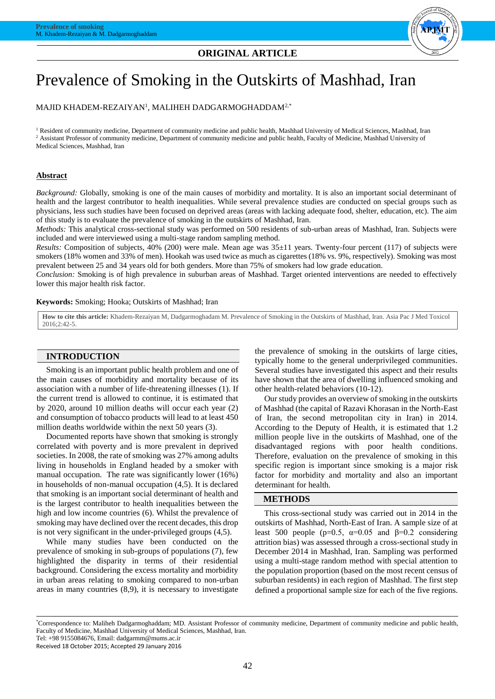# **ORIGINAL ARTICLE**



# Prevalence of Smoking in the Outskirts of Mashhad, Iran

MAJID KHADEM-REZAIYAN $^{\rm l}$ , MALIHEH DADGARMOGHADDAM $^{2,\ast}$ 

<sup>1</sup> Resident of community medicine, Department of community medicine and public health, Mashhad University of Medical Sciences, Mashhad, Iran <sup>2</sup> Assistant Professor of community medicine, Department of community medicine and public health, Faculty of Medicine, Mashhad University of Medical Sciences, Mashhad, Iran

### **Abstract**

*Background:* Globally, smoking is one of the main causes of morbidity and mortality. It is also an important social determinant of health and the largest contributor to health inequalities. While several prevalence studies are conducted on special groups such as physicians, less such studies have been focused on deprived areas (areas with lacking adequate food, shelter, education, etc). The aim of this study is to evaluate the prevalence of smoking in the outskirts of Mashhad, Iran.

*Methods:* This analytical cross-sectional study was performed on 500 residents of sub-urban areas of Mashhad, Iran. Subjects were included and were interviewed using a multi-stage random sampling method.

*Results:* Composition of subjects, 40% (200) were male. Mean age was 35±11 years. Twenty-four percent (117) of subjects were smokers (18% women and 33% of men). Hookah was used twice as much as cigarettes (18% vs. 9%, respectively). Smoking was most prevalent between 25 and 34 years old for both genders. More than 75% of smokers had low grade education.

*Conclusion:* Smoking is of high prevalence in suburban areas of Mashhad. Target oriented interventions are needed to effectively lower this major health risk factor.

#### **Keywords:** Smoking; Hooka; Outskirts of Mashhad; Iran

**How to cite this article:** Khadem-Rezaiyan M, Dadgarmoghadam M. Prevalence of Smoking in the Outskirts of Mashhad, Iran. Asia Pac J Med Toxicol 2016;2:42-5.

## **INTRODUCTION**

Smoking is an important public health problem and one of the main causes of morbidity and mortality because of its association with a number of life-threatening illnesses (1). If the current trend is allowed to continue, it is estimated that by 2020, around 10 million deaths will occur each year (2) and consumption of tobacco products will lead to at least 450 million deaths worldwide within the next 50 years (3).

Documented reports have shown that smoking is strongly correlated with poverty and is more prevalent in deprived societies. In 2008, the rate of smoking was 27% among adults living in households in England headed by a smoker with manual occupation. The rate was significantly lower (16%) in households of non-manual occupation (4,5). It is declared that smoking is an important social determinant of health and is the largest contributor to health inequalities between the high and low income countries (6). Whilst the prevalence of smoking may have declined over the recent decades, this drop is not very significant in the under-privileged groups (4,5).

While many studies have been conducted on the prevalence of smoking in sub-groups of populations (7), few highlighted the disparity in terms of their residential background. Considering the excess mortality and morbidity in urban areas relating to smoking compared to non-urban areas in many countries (8,9), it is necessary to investigate

the prevalence of smoking in the outskirts of large cities, typically home to the general underprivileged communities. Several studies have investigated this aspect and their results have shown that the area of dwelling influenced smoking and other health-related behaviors (10-12).

Our study provides an overview of smoking in the outskirts of Mashhad (the capital of Razavi Khorasan in the North-East of Iran, the second metropolitan city in Iran) in 2014. According to the Deputy of Health, it is estimated that 1.2 million people live in the outskirts of Mashhad, one of the disadvantaged regions with poor health conditions. Therefore, evaluation on the prevalence of smoking in this specific region is important since smoking is a major risk factor for morbidity and mortality and also an important determinant for health.

## **METHODS**

This cross-sectional study was carried out in 2014 in the outskirts of Mashhad, North-East of Iran. A sample size of at least 500 people ( $p=0.5$ ,  $\alpha=0.05$  and  $\beta=0.2$  considering attrition bias) was assessed through a cross-sectional study in December 2014 in Mashhad, Iran. Sampling was performed using a multi-stage random method with special attention to the population proportion (based on the most recent census of suburban residents) in each region of Mashhad. The first step defined a proportional sample size for each of the five regions.

Received 18 October 2015; Accepted 29 January 2016

<sup>\*</sup>Correspondence to: Maliheh Dadgarmoghaddam; MD. Assistant Professor of community medicine, Department of community medicine and public health, Faculty of Medicine, Mashhad University of Medical Sciences, Mashhad, Iran. Tel: +98 9155084676, Email[: dadgarmm@mums.ac.ir](mailto:dadgarmm@mums.ac.ir)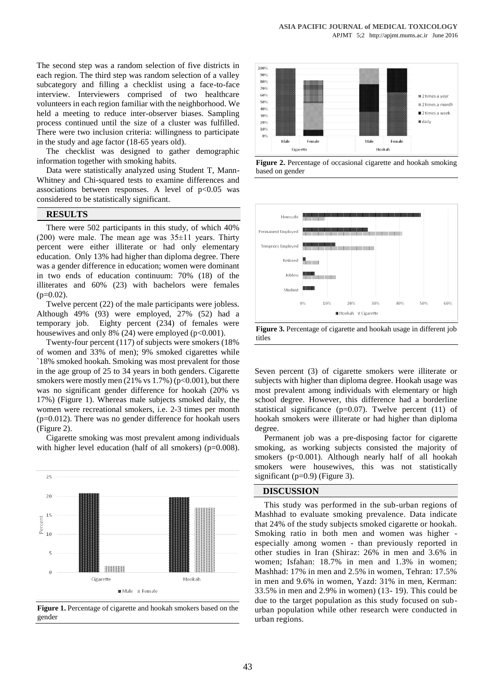The second step was a random selection of five districts in each region. The third step was random selection of a valley subcategory and filling a checklist using a face-to-face interview. Interviewers comprised of two healthcare volunteers in each region familiar with the neighborhood. We held a meeting to reduce inter-observer biases. Sampling process continued until the size of a cluster was fulfilled. There were two inclusion criteria: willingness to participate in the study and age factor (18-65 years old).

The checklist was designed to gather demographic information together with smoking habits.

Data were statistically analyzed using Student T, Mann-Whitney and Chi-squared tests to examine differences and associations between responses. A level of  $p<0.05$  was considered to be statistically significant.

# **RESULTS**

There were 502 participants in this study, of which 40% (200) were male. The mean age was  $35\pm11$  years. Thirty percent were either illiterate or had only elementary education. Only 13% had higher than diploma degree. There was a gender difference in education; women were dominant in two ends of education continuum: 70% (18) of the illiterates and 60% (23) with bachelors were females  $(p=0.02)$ .

Twelve percent (22) of the male participants were jobless. Although 49% (93) were employed, 27% (52) had a temporary job. Eighty percent (234) of females were housewives and only 8% (24) were employed ( $p<0.001$ ).

Twenty-four percent (117) of subjects were smokers (18% of women and 33% of men); 9% smoked cigarettes while `18% smoked hookah. Smoking was most prevalent for those in the age group of 25 to 34 years in both genders. Cigarette smokers were mostly men  $(21\% \text{ vs } 1.7\%)$  (p<0.001), but there was no significant gender difference for hookah (20% vs 17%) (Figure 1). Whereas male subjects smoked daily, the women were recreational smokers, i.e. 2-3 times per month (p=0.012). There was no gender difference for hookah users (Figure 2).

Cigarette smoking was most prevalent among individuals with higher level education (half of all smokers) (p=0.008).



**Figure 1.** Percentage of cigarette and hookah smokers based on the gender



**Figure 2.** Percentage of occasional cigarette and hookah smoking based on gender



**Figure 3.** Percentage of cigarette and hookah usage in different job titles

Seven percent (3) of cigarette smokers were illiterate or subjects with higher than diploma degree. Hookah usage was most prevalent among individuals with elementary or high school degree. However, this difference had a borderline statistical significance ( $p=0.07$ ). Twelve percent (11) of hookah smokers were illiterate or had higher than diploma degree.

Permanent job was a pre-disposing factor for cigarette smoking, as working subjects consisted the majority of smokers (p<0.001). Although nearly half of all hookah smokers were housewives, this was not statistically significant (p=0.9) (Figure 3).

#### **DISCUSSION**

This study was performed in the sub-urban regions of Mashhad to evaluate smoking prevalence. Data indicate that 24% of the study subjects smoked cigarette or hookah. Smoking ratio in both men and women was higher especially among women - than previously reported in other studies in Iran (Shiraz: 26% in men and 3.6% in women; Isfahan: 18.7% in men and 1.3% in women; Mashhad: 17% in men and 2.5% in women, Tehran: 17.5% in men and 9.6% in women, Yazd: 31% in men, Kerman: 33.5% in men and 2.9% in women) (13- 19). This could be due to the target population as this study focused on suburban population while other research were conducted in urban regions.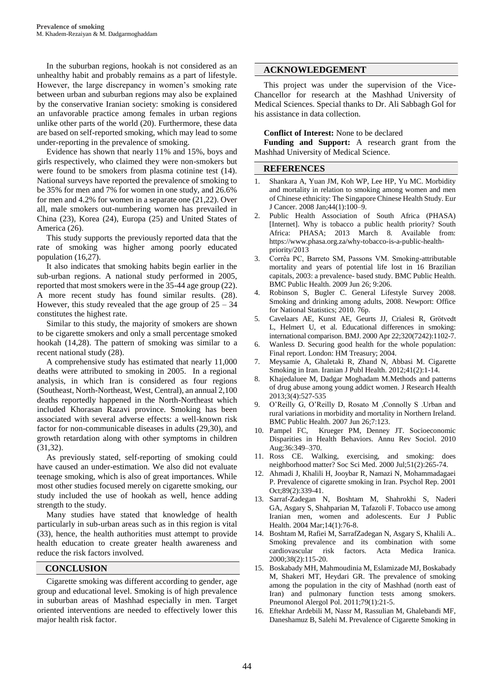In the suburban regions, hookah is not considered as an unhealthy habit and probably remains as a part of lifestyle. However, the large discrepancy in women's smoking rate between urban and suburban regions may also be explained by the conservative Iranian society: smoking is considered an unfavorable practice among females in urban regions unlike other parts of the world (20). Furthermore, these data are based on self-reported smoking, which may lead to some under-reporting in the prevalence of smoking.

Evidence has shown that nearly 11% and 15%, boys and girls respectively, who claimed they were non-smokers but were found to be smokers from plasma cotinine test (14). National surveys have reported the prevalence of smoking to be 35% for men and 7% for women in one study, and 26.6% for men and 4.2% for women in a separate one (21,22). Over all, male smokers out-numbering women has prevailed in China (23), Korea (24), Europa (25) and United States of America (26).

This study supports the previously reported data that the rate of smoking was higher among poorly educated population (16,27).

It also indicates that smoking habits begin earlier in the sub-urban regions. A national study performed in 2005, reported that most smokers were in the 35-44 age group (22). A more recent study has found similar results. (28). However, this study revealed that the age group of  $25 - 34$ constitutes the highest rate.

Similar to this study, the majority of smokers are shown to be cigarette smokers and only a small percentage smoked hookah (14,28). The pattern of smoking was similar to a recent national study (28).

A comprehensive study has estimated that nearly 11,000 deaths were attributed to smoking in 2005. In a regional analysis, in which Iran is considered as four regions (Southeast, North-Northeast, West, Central), an annual 2,100 deaths reportedly happened in the North-Northeast which included Khorasan Razavi province. Smoking has been associated with several adverse effects: a well-known risk factor for non-communicable diseases in adults (29,30), and growth retardation along with other symptoms in children (31,32).

As previously stated, self-reporting of smoking could have caused an under-estimation. We also did not evaluate teenage smoking, which is also of great importances. While most other studies focused merely on cigarette smoking, our study included the use of hookah as well, hence adding strength to the study.

Many studies have stated that knowledge of health particularly in sub-urban areas such as in this region is vital (33), hence, the health authorities must attempt to provide health education to create greater health awareness and reduce the risk factors involved.

# **CONCLUSION**

Cigarette smoking was different according to gender, age group and educational level. Smoking is of high prevalence in suburban areas of Mashhad especially in men. Target oriented interventions are needed to effectively lower this major health risk factor.

# **ACKNOWLEDGEMENT**

This project was under the supervision of the Vice-Chancellor for research at the Mashhad University of Medical Sciences. Special thanks to Dr. Ali Sabbagh Gol for his assistance in data collection.

# **Conflict of Interest:** None to be declared

**Funding and Support:** A research grant from the Mashhad University of Medical Science.

#### **REFERENCES**

- 1. Shankara A, Yuan JM, Koh WP, Lee HP, Yu MC. Morbidity and mortality in relation to smoking among women and men of Chinese ethnicity: The Singapore Chinese Health Study. Eur J Cancer. 2008 Jan;44(1):100–9.
- 2. Public Health Association of South Africa (PHASA) [Internet]. Why is tobacco a public health priority? South Africa: PHASA; 2013 March 8. Available from: https://www.phasa.org.za/why-tobacco-is-a-public-healthpriority/2013
- 3. Corrêa PC, Barreto SM, Passons VM. Smoking-attributable mortality and years of potential life lost in 16 Brazilian capitals, 2003: a prevalence- based study. BMC Public Health. BMC Public Health. 2009 Jun 26; 9:206.
- 4. Robinson S, Bugler C. General Lifestyle Survey 2008. Smoking and drinking among adults, 2008. Newport: Office for National Statistics; 2010. 76p.
- 5. Cavelaars AE, [Kunst AE,](http://www.ncbi.nlm.nih.gov/pubmed/?term=Kunst%20AE%5BAuthor%5D&cauthor=true&cauthor_uid=10775217) [Geurts JJ,](http://www.ncbi.nlm.nih.gov/pubmed/?term=Geurts%20JJ%5BAuthor%5D&cauthor=true&cauthor_uid=10775217) [Crialesi R,](http://www.ncbi.nlm.nih.gov/pubmed/?term=Crialesi%20R%5BAuthor%5D&cauthor=true&cauthor_uid=10775217) [Grötvedt](http://www.ncbi.nlm.nih.gov/pubmed/?term=Gr%C3%B6tvedt%20L%5BAuthor%5D&cauthor=true&cauthor_uid=10775217)  [L,](http://www.ncbi.nlm.nih.gov/pubmed/?term=Gr%C3%B6tvedt%20L%5BAuthor%5D&cauthor=true&cauthor_uid=10775217) [Helmert U,](http://www.ncbi.nlm.nih.gov/pubmed/?term=Helmert%20U%5BAuthor%5D&cauthor=true&cauthor_uid=10775217) et al. Educational differences in smoking: international comparison[. BMJ.](http://www.ncbi.nlm.nih.gov/pubmed/10775217) 2000 Apr 22;320(7242):1102-7.
- 6. Wanless D. Securing good health for the whole population: Final report. London: HM Treasury; 2004.
- 7. Meysamie A, Ghaletaki R, Zhand N, Abbasi M. Cigarette Smoking in Iran. Iranian J Publ Health. 2012;41(2):1-14.
- 8. Khajedaluee M, Dadgar Moghadam M[.Methods and patterns](http://jrh.gmu.ac.ir/files/site1/user_files_6a63b6/maliheh_dadgar-A-10-407-1-e145ee7.pdf)  [of drug abuse among young addict women.](http://jrh.gmu.ac.ir/files/site1/user_files_6a63b6/maliheh_dadgar-A-10-407-1-e145ee7.pdf) [J Research Health](http://jrh.gmu.ac.ir/browse.php?mag_id=7&slc_lang=en&sid=1)  [2013;3\(4\):527-535](http://jrh.gmu.ac.ir/browse.php?mag_id=7&slc_lang=en&sid=1)
- 9. O'Reilly G, O'Reilly D, Rosato M ,Connolly S .Urban and rural variations in morbidity and mortality in Northern Ireland. BMC Public Health. 2007 Jun 26;7:123.
- 10. [Pampel](http://www.ncbi.nlm.nih.gov/pubmed/?term=Pampel%20FC%5Bauth%5D) FC, [Krueger](http://www.ncbi.nlm.nih.gov/pubmed/?term=Krueger%20PM%5Bauth%5D) PM, Denney JT. Socioeconomic Disparities in Health Behaviors. Annu Rev Sociol. 2010 Aug;36:349–370.
- 11. [Ross CE.](http://www.ncbi.nlm.nih.gov/pubmed/?term=Ross%20CE%5BAuthor%5D&cauthor=true&cauthor_uid=10832573) Walking, exercising, and smoking: does neighborhood matter[? Soc Sci Med.](http://www.ncbi.nlm.nih.gov/pubmed/10832573) 2000 Jul;51(2):265-74.
- 12. [Ahmadi J,](http://www.ncbi.nlm.nih.gov/pubmed/?term=Ahmadi%20J%5BAuthor%5D&cauthor=true&cauthor_uid=11783559) [Khalili H,](http://www.ncbi.nlm.nih.gov/pubmed/?term=Khalili%20H%5BAuthor%5D&cauthor=true&cauthor_uid=11783559) [Jooybar R,](http://www.ncbi.nlm.nih.gov/pubmed/?term=Jooybar%20R%5BAuthor%5D&cauthor=true&cauthor_uid=11783559) [Namazi N,](http://www.ncbi.nlm.nih.gov/pubmed/?term=Namazi%20N%5BAuthor%5D&cauthor=true&cauthor_uid=11783559) [Mohammadagaei](http://www.ncbi.nlm.nih.gov/pubmed/?term=Mohammadagaei%20P%5BAuthor%5D&cauthor=true&cauthor_uid=11783559)  [P.](http://www.ncbi.nlm.nih.gov/pubmed/?term=Mohammadagaei%20P%5BAuthor%5D&cauthor=true&cauthor_uid=11783559) Prevalence of cigarette smoking in Iran[. Psychol Rep.](http://www.ncbi.nlm.nih.gov/pubmed/11783559) 2001 Oct;89(2):339-41.
- 13. [Sarraf-Zadegan N,](http://www.ncbi.nlm.nih.gov/pubmed/?term=Sarraf-Zadegan%20N%5BAuthor%5D&cauthor=true&cauthor_uid=15080396) [Boshtam M,](http://www.ncbi.nlm.nih.gov/pubmed/?term=Boshtam%20M%5BAuthor%5D&cauthor=true&cauthor_uid=15080396) [Shahrokhi S,](http://www.ncbi.nlm.nih.gov/pubmed/?term=Shahrokhi%20S%5BAuthor%5D&cauthor=true&cauthor_uid=15080396) [Naderi](http://www.ncbi.nlm.nih.gov/pubmed/?term=Naderi%20GA%5BAuthor%5D&cauthor=true&cauthor_uid=15080396)  [GA,](http://www.ncbi.nlm.nih.gov/pubmed/?term=Naderi%20GA%5BAuthor%5D&cauthor=true&cauthor_uid=15080396) [Asgary S,](http://www.ncbi.nlm.nih.gov/pubmed/?term=Asgary%20S%5BAuthor%5D&cauthor=true&cauthor_uid=15080396) [Shahparian M,](http://www.ncbi.nlm.nih.gov/pubmed/?term=Shahparian%20M%5BAuthor%5D&cauthor=true&cauthor_uid=15080396) [Tafazoli F.](http://www.ncbi.nlm.nih.gov/pubmed/?term=Tafazoli%20F%5BAuthor%5D&cauthor=true&cauthor_uid=15080396) Tobacco use among Iranian men, women and adolescents. [Eur J Public](http://www.ncbi.nlm.nih.gov/pubmed/15080396)  [Health.](http://www.ncbi.nlm.nih.gov/pubmed/15080396) 2004 Mar;14(1):76-8.
- 14. Boshtam M, Rafiei M, SarrafZadegan N, Asgary S, Khalili A.. Smoking prevalence and its combination with some cardiovascular risk factors. Acta Medica Iranica. 2000;38(2):115-20.
- 15. [Boskabady MH,](http://www.ncbi.nlm.nih.gov/pubmed/?term=Boskabady%20MH%5BAuthor%5D&cauthor=true&cauthor_uid=21190149) [Mahmoudinia M,](http://www.ncbi.nlm.nih.gov/pubmed/?term=Mahmoudinia%20M%5BAuthor%5D&cauthor=true&cauthor_uid=21190149) [Eslamizade MJ,](http://www.ncbi.nlm.nih.gov/pubmed/?term=Eslamizade%20MJ%5BAuthor%5D&cauthor=true&cauthor_uid=21190149) [Boskabady](http://www.ncbi.nlm.nih.gov/pubmed/?term=Boskabady%20M%5BAuthor%5D&cauthor=true&cauthor_uid=21190149)  [M,](http://www.ncbi.nlm.nih.gov/pubmed/?term=Boskabady%20M%5BAuthor%5D&cauthor=true&cauthor_uid=21190149) [Shakeri MT,](http://www.ncbi.nlm.nih.gov/pubmed/?term=Shakeri%20MT%5BAuthor%5D&cauthor=true&cauthor_uid=21190149) [Heydari GR.](http://www.ncbi.nlm.nih.gov/pubmed/?term=Heydari%20GR%5BAuthor%5D&cauthor=true&cauthor_uid=21190149) The prevalence of smoking among the population in the city of Mashhad (north east of Iran) and pulmonary function tests among smokers. [Pneumonol Alergol Pol.](http://www.ncbi.nlm.nih.gov/pubmed/21190149) 2011;79(1):21-5.
- 16. Eftekhar Ardebili M, Nassr M, Rassulian M, Ghalebandi MF, Daneshamuz B, Salehi M. Prevalence of Cigarette Smoking in